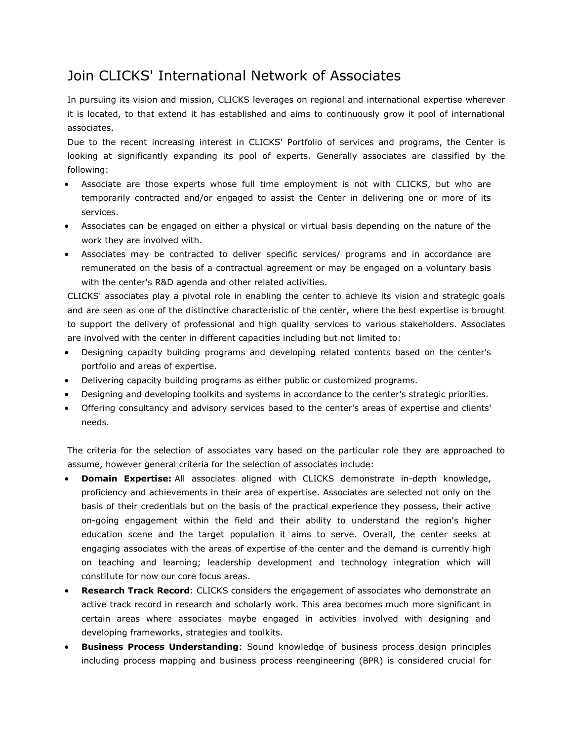## Join CLICKS' International Network of Associates

In pursuing its vision and mission, CLICKS leverages on regional and international expertise wherever it is located, to that extend it has established and aims to continuously grow it pool of international associates.

Due to the recent increasing interest in CLICKS' Portfolio of services and programs, the Center is looking at significantly expanding its pool of experts. Generally associates are classified by the following:

- Associate are those experts whose full time employment is not with CLICKS, but who are temporarily contracted and/or engaged to assist the Center in delivering one or more of its services.
- Associates can be engaged on either a physical or virtual basis depending on the nature of the work they are involved with.
- Associates may be contracted to deliver specific services/ programs and in accordance are remunerated on the basis of a contractual agreement or may be engaged on a voluntary basis with the center's R&D agenda and other related activities.

CLICKS' associates play a pivotal role in enabling the center to achieve its vision and strategic goals and are seen as one of the distinctive characteristic of the center, where the best expertise is brought to support the delivery of professional and high quality services to various stakeholders. Associates are involved with the center in different capacities including but not limited to:

- Designing capacity building programs and developing related contents based on the center's portfolio and areas of expertise.
- Delivering capacity building programs as either public or customized programs.
- Designing and developing toolkits and systems in accordance to the center's strategic priorities.
- Offering consultancy and advisory services based to the center's areas of expertise and clients' needs.

The criteria for the selection of associates vary based on the particular role they are approached to assume, however general criteria for the selection of associates include:

- **Domain Expertise:** All associates aligned with CLICKS demonstrate in-depth knowledge, proficiency and achievements in their area of expertise. Associates are selected not only on the basis of their credentials but on the basis of the practical experience they possess, their active on-going engagement within the field and their ability to understand the region's higher education scene and the target population it aims to serve. Overall, the center seeks at engaging associates with the areas of expertise of the center and the demand is currently high on teaching and learning; leadership development and technology integration which will constitute for now our core focus areas.
- **Research Track Record**: CLICKS considers the engagement of associates who demonstrate an active track record in research and scholarly work. This area becomes much more significant in certain areas where associates maybe engaged in activities involved with designing and developing frameworks, strategies and toolkits.
- **Business Process Understanding**: Sound knowledge of business process design principles including process mapping and business process reengineering (BPR) is considered crucial for